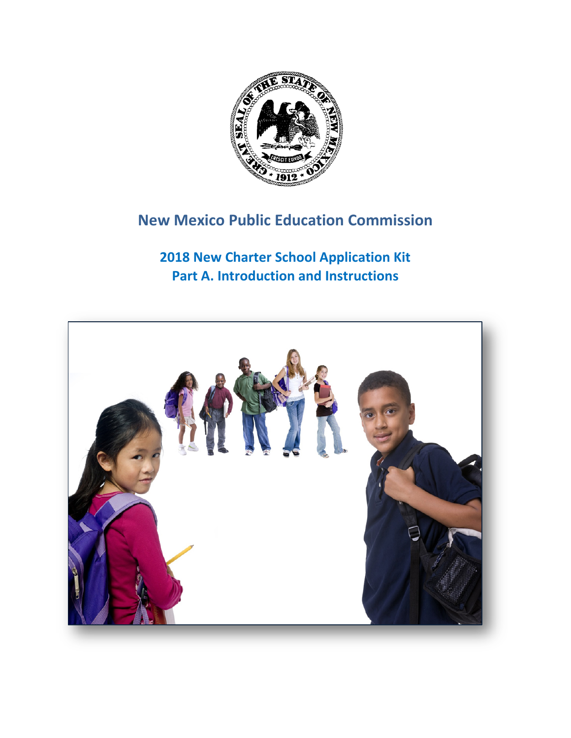

# **New Mexico Public Education Commission**

**2018 New Charter School Application Kit Part A. Introduction and Instructions**

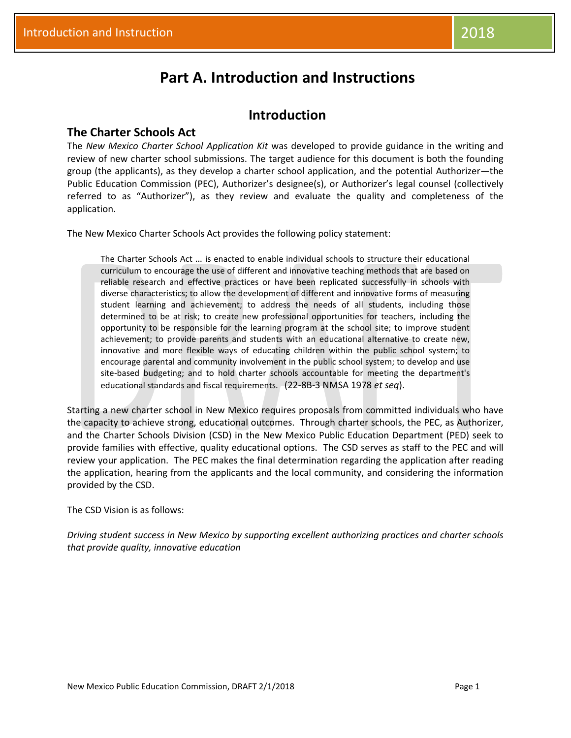## **Part A. Introduction and Instructions**

### **Introduction**

#### **The Charter Schools Act**

The *New Mexico Charter School Application Kit* was developed to provide guidance in the writing and review of new charter school submissions. The target audience for this document is both the founding group (the applicants), as they develop a charter school application, and the potential Authorizer—the Public Education Commission (PEC), Authorizer's designee(s), or Authorizer's legal counsel (collectively referred to as "Authorizer"), as they review and evaluate the quality and completeness of the application.

The New Mexico Charter Schools Act provides the following policy statement:

The Charter Schools Act … is enacted to enable individual schools to structure their educational curriculum to encourage the use of different and innovative teaching methods that are based on reliable research and effective practices or have been replicated successfully in schools with diverse characteristics; to allow the development of different and innovative forms of measuring student learning and achievement; to address the needs of all students, including those determined to be at risk; to create new professional opportunities for teachers, including the opportunity to be responsible for the learning program at the school site; to improve student achievement; to provide parents and students with an educational alternative to create new, innovative and more flexible ways of educating children within the public school system; to encourage parental and community involvement in the public school system; to develop and use site-based budgeting; and to hold charter schools accountable for meeting the department's educational standards and fiscal requirements. (22-8B-3 NMSA 1978 *et seq*).

Starting a new charter school in New Mexico requires proposals from committed individuals who have the capacity to achieve strong, educational outcomes. Through charter schools, the PEC, as Authorizer, and the Charter Schools Division (CSD) in the New Mexico Public Education Department (PED) seek to provide families with effective, quality educational options. The CSD serves as staff to the PEC and will review your application. The PEC makes the final determination regarding the application after reading the application, hearing from the applicants and the local community, and considering the information provided by the CSD.

The CSD Vision is as follows:

*Driving student success in New Mexico by supporting excellent authorizing practices and charter schools that provide quality, innovative education*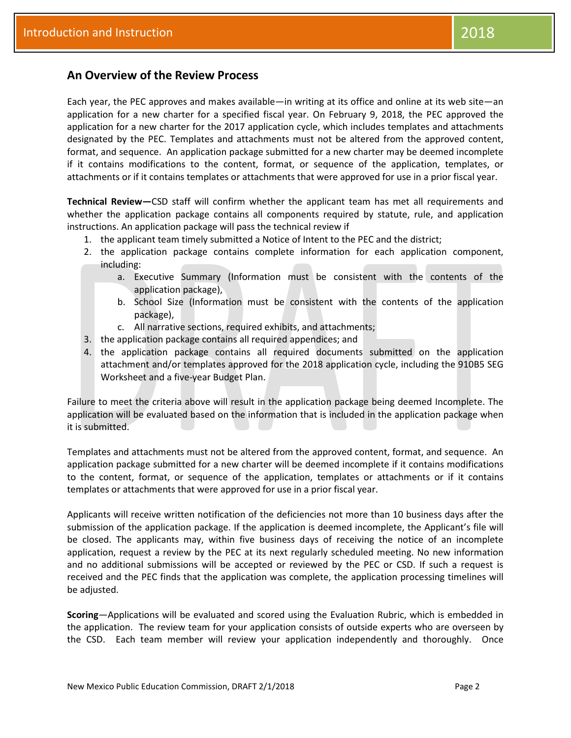#### **An Overview of the Review Process**

Each year, the PEC approves and makes available—in writing at its office and online at its web site—an application for a new charter for a specified fiscal year. On February 9, 2018, the PEC approved the application for a new charter for the 2017 application cycle, which includes templates and attachments designated by the PEC. Templates and attachments must not be altered from the approved content, format, and sequence. An application package submitted for a new charter may be deemed incomplete if it contains modifications to the content, format, or sequence of the application, templates, or attachments or if it contains templates or attachments that were approved for use in a prior fiscal year.

**Technical Review—**CSD staff will confirm whether the applicant team has met all requirements and whether the application package contains all components required by statute, rule, and application instructions. An application package will pass the technical review if

- 1. the applicant team timely submitted a Notice of Intent to the PEC and the district;
- 2. the application package contains complete information for each application component, including:
	- a. Executive Summary (Information must be consistent with the contents of the application package),
	- b. School Size (Information must be consistent with the contents of the application package),
	- c. All narrative sections, required exhibits, and attachments;
- 3. the application package contains all required appendices; and
- 4. the application package contains all required documents submitted on the application attachment and/or templates approved for the 2018 application cycle, including the 910B5 SEG Worksheet and a five-year Budget Plan.

Failure to meet the criteria above will result in the application package being deemed Incomplete. The application will be evaluated based on the information that is included in the application package when it is submitted.

Templates and attachments must not be altered from the approved content, format, and sequence. An application package submitted for a new charter will be deemed incomplete if it contains modifications to the content, format, or sequence of the application, templates or attachments or if it contains templates or attachments that were approved for use in a prior fiscal year.

Applicants will receive written notification of the deficiencies not more than 10 business days after the submission of the application package. If the application is deemed incomplete, the Applicant's file will be closed. The applicants may, within five business days of receiving the notice of an incomplete application, request a review by the PEC at its next regularly scheduled meeting. No new information and no additional submissions will be accepted or reviewed by the PEC or CSD. If such a request is received and the PEC finds that the application was complete, the application processing timelines will be adjusted.

**Scoring**—Applications will be evaluated and scored using the Evaluation Rubric, which is embedded in the application. The review team for your application consists of outside experts who are overseen by the CSD. Each team member will review your application independently and thoroughly. Once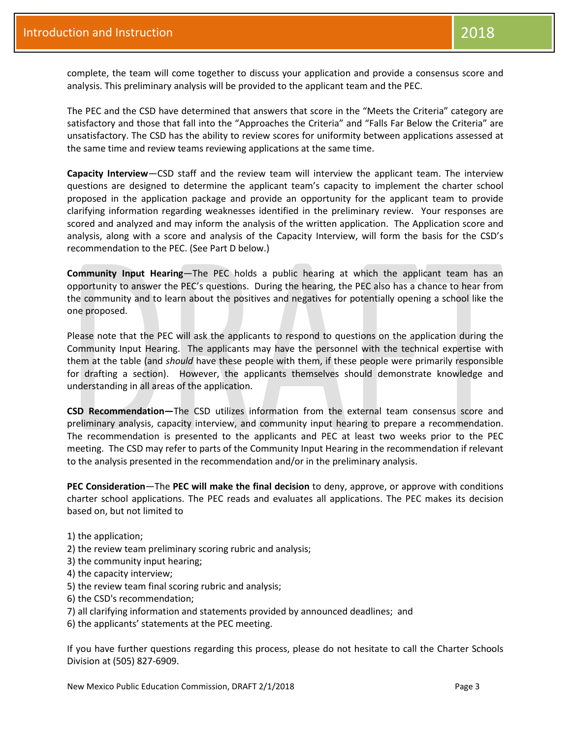complete, the team will come together to discuss your application and provide a consensus score and analysis. This preliminary analysis will be provided to the applicant team and the PEC.

The PEC and the CSD have determined that answers that score in the "Meets the Criteria" category are satisfactory and those that fall into the "Approaches the Criteria" and "Falls Far Below the Criteria" are unsatisfactory. The CSD has the ability to review scores for uniformity between applications assessed at the same time and review teams reviewing applications at the same time.

**Capacity Interview**—CSD staff and the review team will interview the applicant team. The interview questions are designed to determine the applicant team's capacity to implement the charter school proposed in the application package and provide an opportunity for the applicant team to provide clarifying information regarding weaknesses identified in the preliminary review. Your responses are scored and analyzed and may inform the analysis of the written application. The Application score and analysis, along with a score and analysis of the Capacity Interview, will form the basis for the CSD's recommendation to the PEC. (See Part D below.)

**Community Input Hearing**—The PEC holds a public hearing at which the applicant team has an opportunity to answer the PEC's questions. During the hearing, the PEC also has a chance to hear from the community and to learn about the positives and negatives for potentially opening a school like the one proposed.

Please note that the PEC will ask the applicants to respond to questions on the application during the Community Input Hearing. The applicants may have the personnel with the technical expertise with them at the table (and *should* have these people with them, if these people were primarily responsible for drafting a section). However, the applicants themselves should demonstrate knowledge and understanding in all areas of the application.

**CSD Recommendation—**The CSD utilizes information from the external team consensus score and preliminary analysis, capacity interview, and community input hearing to prepare a recommendation. The recommendation is presented to the applicants and PEC at least two weeks prior to the PEC meeting. The CSD may refer to parts of the Community Input Hearing in the recommendation if relevant to the analysis presented in the recommendation and/or in the preliminary analysis.

**PEC Consideration**—The **PEC will make the final decision** to deny, approve, or approve with conditions charter school applications. The PEC reads and evaluates all applications. The PEC makes its decision based on, but not limited to

- 1) the application;
- 2) the review team preliminary scoring rubric and analysis;
- 3) the community input hearing;
- 4) the capacity interview;
- 5) the review team final scoring rubric and analysis;
- 6) the CSD's recommendation;
- 7) all clarifying information and statements provided by announced deadlines; and
- 6) the applicants' statements at the PEC meeting.

If you have further questions regarding this process, please do not hesitate to call the Charter Schools Division at (505) 827-6909.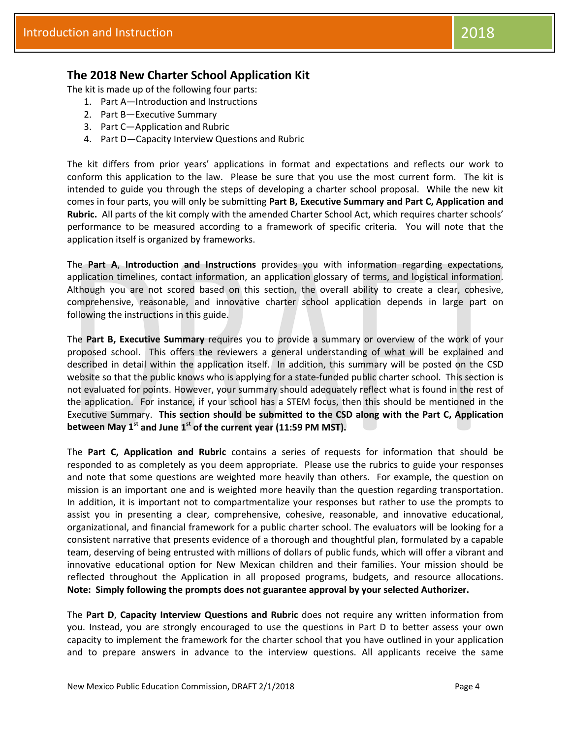#### **The 2018 New Charter School Application Kit**

The kit is made up of the following four parts:

- 1. Part A—Introduction and Instructions
- 2. Part B—Executive Summary
- 3. Part C—Application and Rubric
- 4. Part D—Capacity Interview Questions and Rubric

The kit differs from prior years' applications in format and expectations and reflects our work to conform this application to the law. Please be sure that you use the most current form. The kit is intended to guide you through the steps of developing a charter school proposal. While the new kit comes in four parts, you will only be submitting **Part B, Executive Summary and Part C, Application and Rubric.** All parts of the kit comply with the amended Charter School Act, which requires charter schools' performance to be measured according to a framework of specific criteria. You will note that the application itself is organized by frameworks.

The **Part A**, **Introduction and Instructions** provides you with information regarding expectations, application timelines, contact information, an application glossary of terms, and logistical information. Although you are not scored based on this section, the overall ability to create a clear, cohesive, comprehensive, reasonable, and innovative charter school application depends in large part on following the instructions in this guide.

The **Part B, Executive Summary** requires you to provide a summary or overview of the work of your proposed school. This offers the reviewers a general understanding of what will be explained and described in detail within the application itself. In addition, this summary will be posted on the CSD website so that the public knows who is applying for a state-funded public charter school. This section is not evaluated for points. However, your summary should adequately reflect what is found in the rest of the application. For instance, if your school has a STEM focus, then this should be mentioned in the Executive Summary. **This section should be submitted to the CSD along with the Part C, Application between May 1st and June 1st of the current year (11:59 PM MST).**

The **Part C, Application and Rubric** contains a series of requests for information that should be responded to as completely as you deem appropriate. Please use the rubrics to guide your responses and note that some questions are weighted more heavily than others. For example, the question on mission is an important one and is weighted more heavily than the question regarding transportation. In addition, it is important not to compartmentalize your responses but rather to use the prompts to assist you in presenting a clear, comprehensive, cohesive, reasonable, and innovative educational, organizational, and financial framework for a public charter school. The evaluators will be looking for a consistent narrative that presents evidence of a thorough and thoughtful plan, formulated by a capable team, deserving of being entrusted with millions of dollars of public funds, which will offer a vibrant and innovative educational option for New Mexican children and their families. Your mission should be reflected throughout the Application in all proposed programs, budgets, and resource allocations. **Note: Simply following the prompts does not guarantee approval by your selected Authorizer.**

The **Part D**, **Capacity Interview Questions and Rubric** does not require any written information from you. Instead, you are strongly encouraged to use the questions in Part D to better assess your own capacity to implement the framework for the charter school that you have outlined in your application and to prepare answers in advance to the interview questions. All applicants receive the same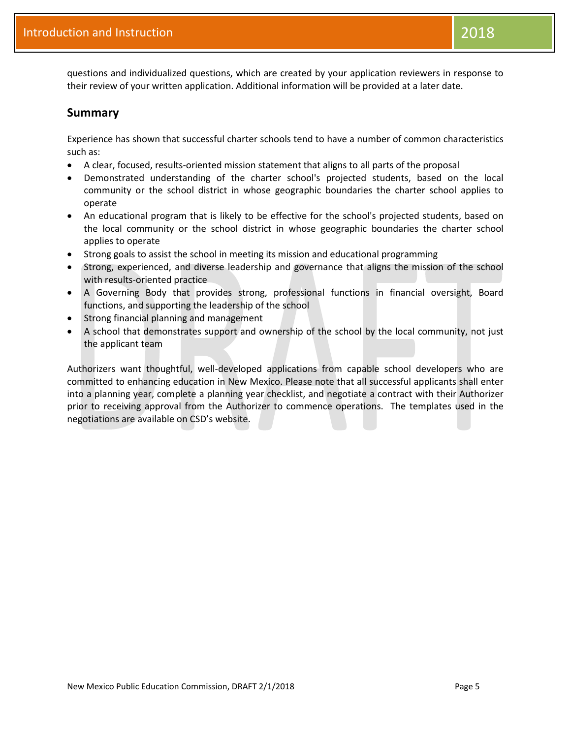questions and individualized questions, which are created by your application reviewers in response to their review of your written application. Additional information will be provided at a later date.

#### **Summary**

Experience has shown that successful charter schools tend to have a number of common characteristics such as:

- A clear, focused, results-oriented mission statement that aligns to all parts of the proposal
- Demonstrated understanding of the charter school's projected students, based on the local community or the school district in whose geographic boundaries the charter school applies to operate
- An educational program that is likely to be effective for the school's projected students, based on the local community or the school district in whose geographic boundaries the charter school applies to operate
- Strong goals to assist the school in meeting its mission and educational programming
- Strong, experienced, and diverse leadership and governance that aligns the mission of the school with results-oriented practice
- A Governing Body that provides strong, professional functions in financial oversight, Board functions, and supporting the leadership of the school
- Strong financial planning and management
- A school that demonstrates support and ownership of the school by the local community, not just the applicant team

Authorizers want thoughtful, well-developed applications from capable school developers who are committed to enhancing education in New Mexico. Please note that all successful applicants shall enter into a planning year, complete a planning year checklist, and negotiate a contract with their Authorizer prior to receiving approval from the Authorizer to commence operations. The templates used in the negotiations are available on CSD's website.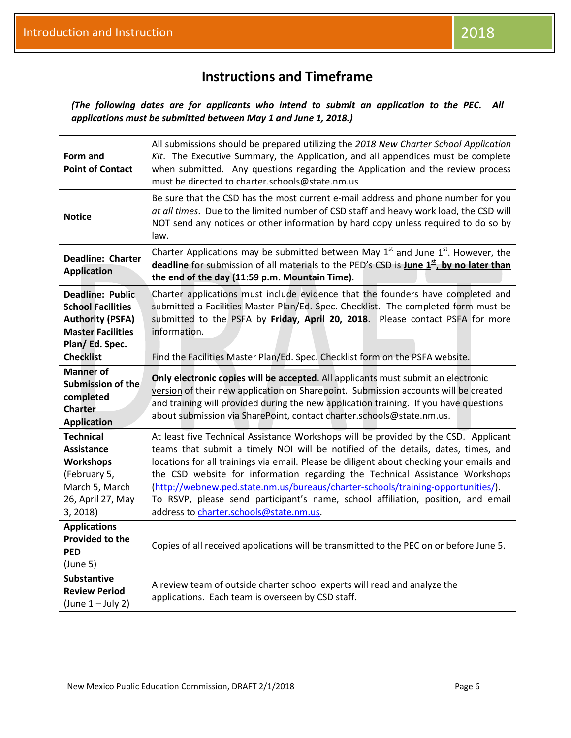*(The following dates are for applicants who intend to submit an application to the PEC. All applications must be submitted between May 1 and June 1, 2018.)*

| Form and<br><b>Point of Contact</b>                                                                                                               | All submissions should be prepared utilizing the 2018 New Charter School Application<br>Kit. The Executive Summary, the Application, and all appendices must be complete<br>when submitted. Any questions regarding the Application and the review process<br>must be directed to charter.schools@state.nm.us                                                                                                                                                                                                                                                           |
|---------------------------------------------------------------------------------------------------------------------------------------------------|-------------------------------------------------------------------------------------------------------------------------------------------------------------------------------------------------------------------------------------------------------------------------------------------------------------------------------------------------------------------------------------------------------------------------------------------------------------------------------------------------------------------------------------------------------------------------|
| <b>Notice</b>                                                                                                                                     | Be sure that the CSD has the most current e-mail address and phone number for you<br>at all times. Due to the limited number of CSD staff and heavy work load, the CSD will<br>NOT send any notices or other information by hard copy unless required to do so by<br>law.                                                                                                                                                                                                                                                                                               |
| Deadline: Charter<br><b>Application</b>                                                                                                           | Charter Applications may be submitted between May $1st$ and June $1st$ . However, the<br>deadline for submission of all materials to the PED's CSD is <b>June <math>1^{st}</math>, by no later than</b><br>the end of the day (11:59 p.m. Mountain Time).                                                                                                                                                                                                                                                                                                               |
| <b>Deadline: Public</b><br><b>School Facilities</b><br><b>Authority (PSFA)</b><br><b>Master Facilities</b><br>Plan/ Ed. Spec.<br><b>Checklist</b> | Charter applications must include evidence that the founders have completed and<br>submitted a Facilities Master Plan/Ed. Spec. Checklist. The completed form must be<br>submitted to the PSFA by Friday, April 20, 2018. Please contact PSFA for more<br>information.<br>Find the Facilities Master Plan/Ed. Spec. Checklist form on the PSFA website.                                                                                                                                                                                                                 |
| <b>Manner</b> of<br>Submission of the<br>completed<br><b>Charter</b><br><b>Application</b>                                                        | Only electronic copies will be accepted. All applicants must submit an electronic<br>version of their new application on Sharepoint. Submission accounts will be created<br>and training will provided during the new application training. If you have questions<br>about submission via SharePoint, contact charter.schools@state.nm.us.                                                                                                                                                                                                                              |
| <b>Technical</b><br>Assistance<br><b>Workshops</b><br>(February 5,<br>March 5, March<br>26, April 27, May<br>3, 2018)                             | At least five Technical Assistance Workshops will be provided by the CSD. Applicant<br>teams that submit a timely NOI will be notified of the details, dates, times, and<br>locations for all trainings via email. Please be diligent about checking your emails and<br>the CSD website for information regarding the Technical Assistance Workshops<br>(http://webnew.ped.state.nm.us/bureaus/charter-schools/training-opportunities/).<br>To RSVP, please send participant's name, school affiliation, position, and email<br>address to charter.schools@state.nm.us. |
| <b>Applications</b><br><b>Provided to the</b><br><b>PED</b><br>(June 5)                                                                           | Copies of all received applications will be transmitted to the PEC on or before June 5.                                                                                                                                                                                                                                                                                                                                                                                                                                                                                 |
| <b>Substantive</b><br><b>Review Period</b><br>$(lune 1 - July 2)$                                                                                 | A review team of outside charter school experts will read and analyze the<br>applications. Each team is overseen by CSD staff.                                                                                                                                                                                                                                                                                                                                                                                                                                          |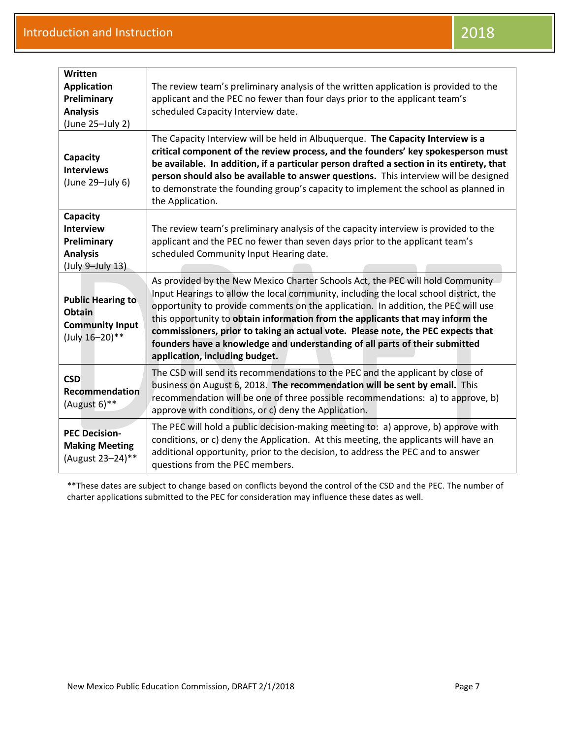| Written<br><b>Application</b><br>Preliminary<br><b>Analysis</b><br>(June 25-July 2) | The review team's preliminary analysis of the written application is provided to the<br>applicant and the PEC no fewer than four days prior to the applicant team's<br>scheduled Capacity Interview date.                                                                                                                                                                                                                                                                                                                                           |
|-------------------------------------------------------------------------------------|-----------------------------------------------------------------------------------------------------------------------------------------------------------------------------------------------------------------------------------------------------------------------------------------------------------------------------------------------------------------------------------------------------------------------------------------------------------------------------------------------------------------------------------------------------|
| Capacity<br><b>Interviews</b><br>(June 29-July 6)                                   | The Capacity Interview will be held in Albuquerque. The Capacity Interview is a<br>critical component of the review process, and the founders' key spokesperson must<br>be available. In addition, if a particular person drafted a section in its entirety, that<br>person should also be available to answer questions. This interview will be designed<br>to demonstrate the founding group's capacity to implement the school as planned in<br>the Application.                                                                                 |
| Capacity<br><b>Interview</b><br>Preliminary<br><b>Analysis</b><br>(July 9-July 13)  | The review team's preliminary analysis of the capacity interview is provided to the<br>applicant and the PEC no fewer than seven days prior to the applicant team's<br>scheduled Community Input Hearing date.                                                                                                                                                                                                                                                                                                                                      |
| <b>Public Hearing to</b><br>Obtain<br><b>Community Input</b><br>(July 16-20)**      | As provided by the New Mexico Charter Schools Act, the PEC will hold Community<br>Input Hearings to allow the local community, including the local school district, the<br>opportunity to provide comments on the application. In addition, the PEC will use<br>this opportunity to obtain information from the applicants that may inform the<br>commissioners, prior to taking an actual vote. Please note, the PEC expects that<br>founders have a knowledge and understanding of all parts of their submitted<br>application, including budget. |
| <b>CSD</b><br>Recommendation<br>(August 6)**                                        | The CSD will send its recommendations to the PEC and the applicant by close of<br>business on August 6, 2018. The recommendation will be sent by email. This<br>recommendation will be one of three possible recommendations: a) to approve, b)<br>approve with conditions, or c) deny the Application.                                                                                                                                                                                                                                             |
| <b>PEC Decision-</b><br><b>Making Meeting</b><br>(August 23-24)**                   | The PEC will hold a public decision-making meeting to: a) approve, b) approve with<br>conditions, or c) deny the Application. At this meeting, the applicants will have an<br>additional opportunity, prior to the decision, to address the PEC and to answer<br>questions from the PEC members.                                                                                                                                                                                                                                                    |

\*\*These dates are subject to change based on conflicts beyond the control of the CSD and the PEC. The number of charter applications submitted to the PEC for consideration may influence these dates as well.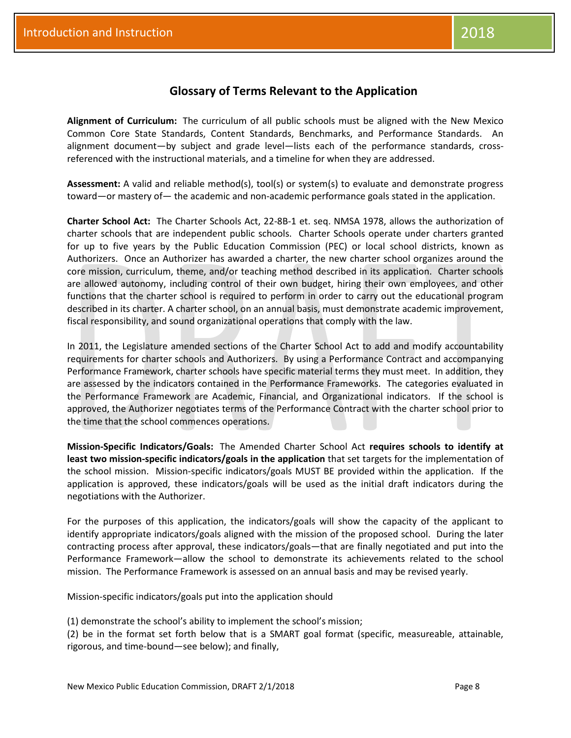#### **Glossary of Terms Relevant to the Application**

**Alignment of Curriculum:** The curriculum of all public schools must be aligned with the New Mexico Common Core State Standards, Content Standards, Benchmarks, and Performance Standards. An alignment document—by subject and grade level—lists each of the performance standards, crossreferenced with the instructional materials, and a timeline for when they are addressed.

**Assessment:** A valid and reliable method(s), tool(s) or system(s) to evaluate and demonstrate progress toward—or mastery of— the academic and non-academic performance goals stated in the application.

**Charter School Act:**The Charter Schools Act, 22-8B-1 et. seq. NMSA 1978, allows the authorization of charter schools that are independent public schools. Charter Schools operate under charters granted for up to five years by the Public Education Commission (PEC) or local school districts, known as Authorizers. Once an Authorizer has awarded a charter, the new charter school organizes around the core mission, curriculum, theme, and/or teaching method described in its application. Charter schools are allowed autonomy, including control of their own budget, hiring their own employees, and other functions that the charter school is required to perform in order to carry out the educational program described in its charter. A charter school, on an annual basis, must demonstrate academic improvement, fiscal responsibility, and sound organizational operations that comply with the law.

In 2011, the Legislature amended sections of the Charter School Act to add and modify accountability requirements for charter schools and Authorizers. By using a Performance Contract and accompanying Performance Framework, charter schools have specific material terms they must meet. In addition, they are assessed by the indicators contained in the Performance Frameworks. The categories evaluated in the Performance Framework are Academic, Financial, and Organizational indicators. If the school is approved, the Authorizer negotiates terms of the Performance Contract with the charter school prior to the time that the school commences operations.

**Mission-Specific Indicators/Goals:** The Amended Charter School Act **requires schools to identify at least two mission-specific indicators/goals in the application** that set targets for the implementation of the school mission. Mission-specific indicators/goals MUST BE provided within the application. If the application is approved, these indicators/goals will be used as the initial draft indicators during the negotiations with the Authorizer.

For the purposes of this application, the indicators/goals will show the capacity of the applicant to identify appropriate indicators/goals aligned with the mission of the proposed school. During the later contracting process after approval, these indicators/goals—that are finally negotiated and put into the Performance Framework—allow the school to demonstrate its achievements related to the school mission. The Performance Framework is assessed on an annual basis and may be revised yearly.

Mission-specific indicators/goals put into the application should

(1) demonstrate the school's ability to implement the school's mission;

(2) be in the format set forth below that is a SMART goal format (specific, measureable, attainable, rigorous, and time-bound—see below); and finally,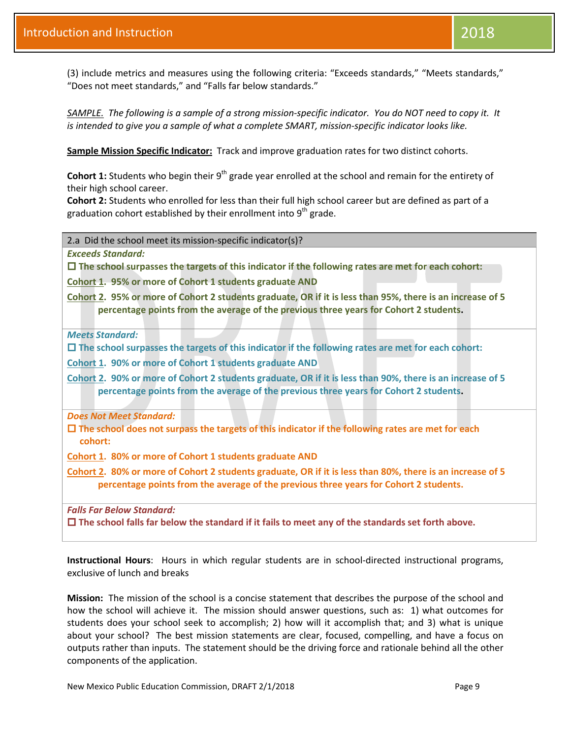*SAMPLE. The following is a sample of a strong mission-specific indicator. You do NOT need to copy it. It is intended to give you a sample of what a complete SMART, mission-specific indicator looks like.*

**Sample Mission Specific Indicator:** Track and improve graduation rates for two distinct cohorts.

**Cohort 1:** Students who begin their 9<sup>th</sup> grade year enrolled at the school and remain for the entirety of their high school career.

**Cohort 2:** Students who enrolled for less than their full high school career but are defined as part of a graduation cohort established by their enrollment into  $9<sup>th</sup>$  grade.

2.a Did the school meet its mission-specific indicator(s)?

"Does not meet standards," and "Falls far below standards."

*Exceeds Standard:*

**The school surpasses the targets of this indicator if the following rates are met for each cohort:**

**Cohort 1. 95% or more of Cohort 1 students graduate AND** 

**Cohort 2. 95% or more of Cohort 2 students graduate, OR if it is less than 95%, there is an increase of 5 percentage points from the average of the previous three years for Cohort 2 students.**

*Meets Standard:*

**The school surpasses the targets of this indicator if the following rates are met for each cohort:**

**Cohort 1. 90% or more of Cohort 1 students graduate AND** 

**Cohort 2. 90% or more of Cohort 2 students graduate, OR if it is less than 90%, there is an increase of 5 percentage points from the average of the previous three years for Cohort 2 students.**

*Does Not Meet Standard:*

 **The school does not surpass the targets of this indicator if the following rates are met for each cohort:**

**Cohort 1. 80% or more of Cohort 1 students graduate AND** 

**Cohort 2. 80% or more of Cohort 2 students graduate, OR if it is less than 80%, there is an increase of 5 percentage points from the average of the previous three years for Cohort 2 students.**

*Falls Far Below Standard:*

**The school falls far below the standard if it fails to meet any of the standards set forth above.**

**Instructional Hours**: Hours in which regular students are in school-directed instructional programs, exclusive of lunch and breaks

**Mission:**The mission of the school is a concise statement that describes the purpose of the school and how the school will achieve it. The mission should answer questions, such as: 1) what outcomes for students does your school seek to accomplish; 2) how will it accomplish that; and 3) what is unique about your school? The best mission statements are clear, focused, compelling, and have a focus on outputs rather than inputs. The statement should be the driving force and rationale behind all the other components of the application.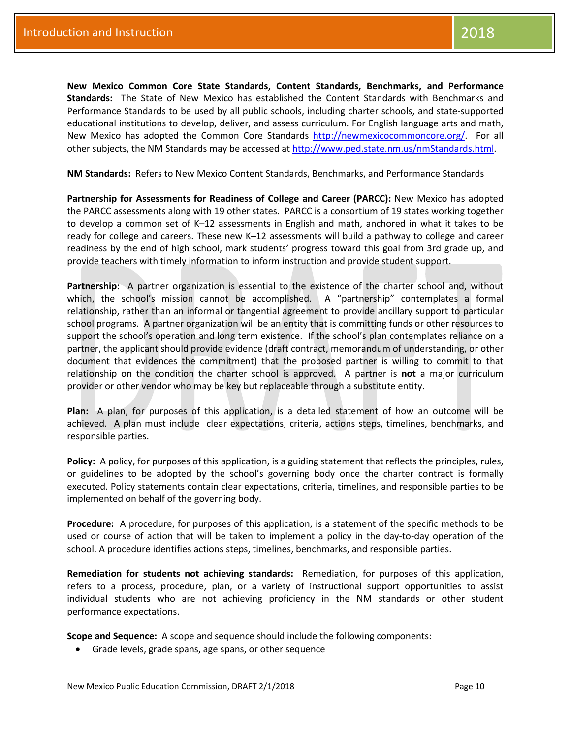**New Mexico Common Core State Standards, Content Standards, Benchmarks, and Performance Standards:** The State of New Mexico has established the Content Standards with Benchmarks and Performance Standards to be used by all public schools, including charter schools, and state-supported educational institutions to develop, deliver, and assess curriculum. For English language arts and math, New Mexico has adopted the Common Core Standards [http://newmexicocommoncore.org/.](http://newmexicocommoncore.org/) For all other subjects, the NM Standards may be accessed a[t http://www.ped.state.nm.us/nmStandards.html.](http://www.ped.state.nm.us/nmStandards.html)

**NM Standards:** Refers to New Mexico Content Standards, Benchmarks, and Performance Standards

**Partnership for Assessments for Readiness of College and Career (PARCC):** New Mexico has adopted the PARCC assessments along with 19 other states. PARCC is a consortium of 19 states working together to develop a common set of K–12 assessments in English and math, anchored in what it takes to be ready for college and careers. These new K–12 assessments will build a pathway to college and career readiness by the end of high school, mark students' progress toward this goal from 3rd grade up, and provide teachers with timely information to inform instruction and provide student support.

**Partnership:** A partner organization is essential to the existence of the charter school and, without which, the school's mission cannot be accomplished. A "partnership" contemplates a formal relationship, rather than an informal or tangential agreement to provide ancillary support to particular school programs. A partner organization will be an entity that is committing funds or other resources to support the school's operation and long term existence. If the school's plan contemplates reliance on a partner, the applicant should provide evidence (draft contract, memorandum of understanding, or other document that evidences the commitment) that the proposed partner is willing to commit to that relationship on the condition the charter school is approved. A partner is **not** a major curriculum provider or other vendor who may be key but replaceable through a substitute entity.

**Plan:** A plan, for purposes of this application, is a detailed statement of how an outcome will be achieved. A plan must include clear expectations, criteria, actions steps, timelines, benchmarks, and responsible parties.

**Policy:** A policy, for purposes of this application, is a guiding statement that reflects the principles, rules, or guidelines to be adopted by the school's governing body once the charter contract is formally executed. Policy statements contain clear expectations, criteria, timelines, and responsible parties to be implemented on behalf of the governing body.

**Procedure:** A procedure, for purposes of this application, is a statement of the specific methods to be used or course of action that will be taken to implement a policy in the day-to-day operation of the school. A procedure identifies actions steps, timelines, benchmarks, and responsible parties.

**Remediation for students not achieving standards:** Remediation, for purposes of this application, refers to a process, procedure, plan, or a variety of instructional support opportunities to assist individual students who are not achieving proficiency in the NM standards or other student performance expectations.

**Scope and Sequence:** A scope and sequence should include the following components:

• Grade levels, grade spans, age spans, or other sequence